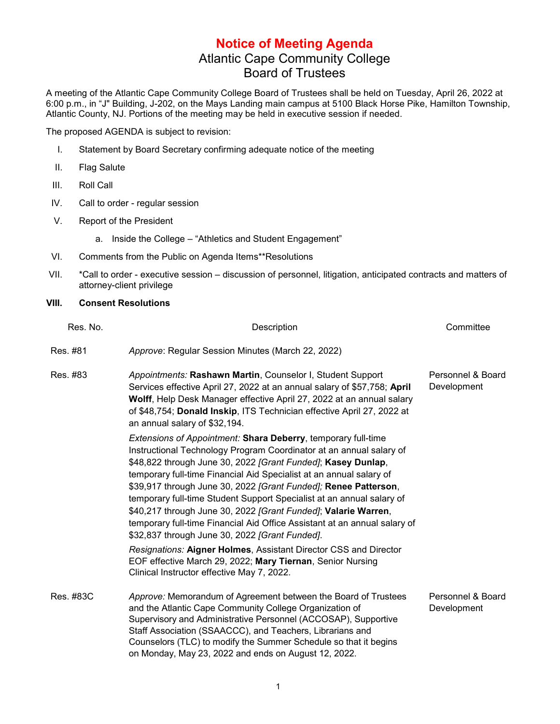## **Notice of Meeting Agenda** Atlantic Cape Community College Board of Trustees

A meeting of the Atlantic Cape Community College Board of Trustees shall be held on Tuesday, April 26, 2022 at 6:00 p.m., in "J" Building, J-202, on the Mays Landing main campus at 5100 Black Horse Pike, Hamilton Township, Atlantic County, NJ. Portions of the meeting may be held in executive session if needed.

The proposed AGENDA is subject to revision:

- I. Statement by Board Secretary confirming adequate notice of the meeting
- II. Flag Salute
- III. Roll Call
- IV. Call to order regular session
- V. Report of the President
	- a. Inside the College "Athletics and Student Engagement"
- VI. Comments from the Public on Agenda Items\*\*Resolutions
- VII. \*Call to order executive session discussion of personnel, litigation, anticipated contracts and matters of attorney-client privilege

## **VIII. Consent Resolutions**

| Res. No.  | Description                                                                                                                                                                                                                                                                                                                                                                                                                                                                                                                                                                                                                     | Committee                        |
|-----------|---------------------------------------------------------------------------------------------------------------------------------------------------------------------------------------------------------------------------------------------------------------------------------------------------------------------------------------------------------------------------------------------------------------------------------------------------------------------------------------------------------------------------------------------------------------------------------------------------------------------------------|----------------------------------|
| Res. #81  | Approve: Regular Session Minutes (March 22, 2022)                                                                                                                                                                                                                                                                                                                                                                                                                                                                                                                                                                               |                                  |
| Res. #83  | Appointments: Rashawn Martin, Counselor I, Student Support<br>Services effective April 27, 2022 at an annual salary of \$57,758; April<br>Wolff, Help Desk Manager effective April 27, 2022 at an annual salary<br>of \$48,754; Donald Inskip, ITS Technician effective April 27, 2022 at<br>an annual salary of \$32,194.                                                                                                                                                                                                                                                                                                      | Personnel & Board<br>Development |
|           | <b>Extensions of Appointment: Shara Deberry, temporary full-time</b><br>Instructional Technology Program Coordinator at an annual salary of<br>\$48,822 through June 30, 2022 [Grant Funded]; Kasey Dunlap,<br>temporary full-time Financial Aid Specialist at an annual salary of<br>\$39,917 through June 30, 2022 [Grant Funded]; Renee Patterson,<br>temporary full-time Student Support Specialist at an annual salary of<br>\$40,217 through June 30, 2022 [Grant Funded]; Valarie Warren,<br>temporary full-time Financial Aid Office Assistant at an annual salary of<br>\$32,837 through June 30, 2022 [Grant Funded]. |                                  |
|           | Resignations: Aigner Holmes, Assistant Director CSS and Director<br>EOF effective March 29, 2022; Mary Tiernan, Senior Nursing<br>Clinical Instructor effective May 7, 2022.                                                                                                                                                                                                                                                                                                                                                                                                                                                    |                                  |
| Res. #83C | Approve: Memorandum of Agreement between the Board of Trustees<br>and the Atlantic Cape Community College Organization of<br>Supervisory and Administrative Personnel (ACCOSAP), Supportive<br>Staff Association (SSAACCC), and Teachers, Librarians and<br>Counselors (TLC) to modify the Summer Schedule so that it begins<br>on Monday, May 23, 2022 and ends on August 12, 2022.                                                                                                                                                                                                                                            | Personnel & Board<br>Development |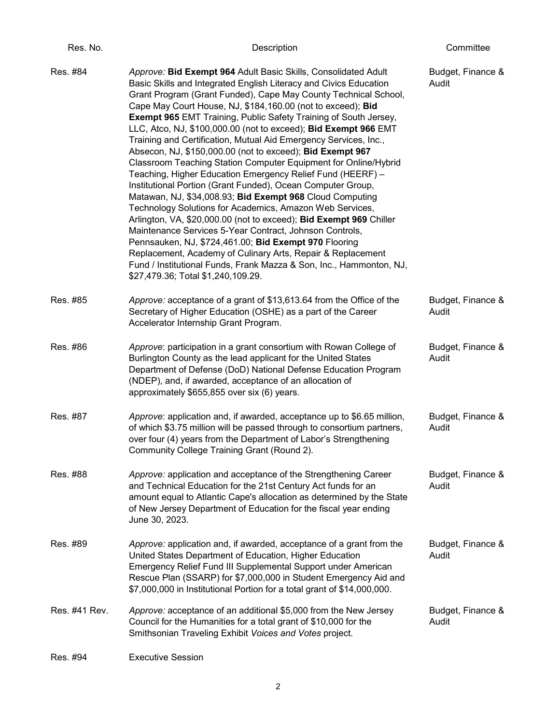| Res. No.      | Description                                                                                                                                                                                                                                                                                                                                                                                                                                                                                                                                                                                                                                                                                                                                                                                                                                                                                                                                                                                                                                                                                                                                                                                                                                        | Committee                  |
|---------------|----------------------------------------------------------------------------------------------------------------------------------------------------------------------------------------------------------------------------------------------------------------------------------------------------------------------------------------------------------------------------------------------------------------------------------------------------------------------------------------------------------------------------------------------------------------------------------------------------------------------------------------------------------------------------------------------------------------------------------------------------------------------------------------------------------------------------------------------------------------------------------------------------------------------------------------------------------------------------------------------------------------------------------------------------------------------------------------------------------------------------------------------------------------------------------------------------------------------------------------------------|----------------------------|
| Res. #84      | Approve: Bid Exempt 964 Adult Basic Skills, Consolidated Adult<br>Basic Skills and Integrated English Literacy and Civics Education<br>Grant Program (Grant Funded), Cape May County Technical School,<br>Cape May Court House, NJ, \$184,160.00 (not to exceed); Bid<br><b>Exempt 965 EMT Training, Public Safety Training of South Jersey,</b><br>LLC, Atco, NJ, \$100,000.00 (not to exceed); Bid Exempt 966 EMT<br>Training and Certification, Mutual Aid Emergency Services, Inc.,<br>Absecon, NJ, \$150,000.00 (not to exceed); Bid Exempt 967<br>Classroom Teaching Station Computer Equipment for Online/Hybrid<br>Teaching, Higher Education Emergency Relief Fund (HEERF) -<br>Institutional Portion (Grant Funded), Ocean Computer Group,<br>Matawan, NJ, \$34,008.93; Bid Exempt 968 Cloud Computing<br>Technology Solutions for Academics, Amazon Web Services,<br>Arlington, VA, \$20,000.00 (not to exceed); Bid Exempt 969 Chiller<br>Maintenance Services 5-Year Contract, Johnson Controls,<br>Pennsauken, NJ, \$724,461.00; Bid Exempt 970 Flooring<br>Replacement, Academy of Culinary Arts, Repair & Replacement<br>Fund / Institutional Funds, Frank Mazza & Son, Inc., Hammonton, NJ,<br>\$27,479.36; Total \$1,240,109.29. | Budget, Finance &<br>Audit |
| Res. #85      | Approve: acceptance of a grant of \$13,613.64 from the Office of the<br>Secretary of Higher Education (OSHE) as a part of the Career<br>Accelerator Internship Grant Program.                                                                                                                                                                                                                                                                                                                                                                                                                                                                                                                                                                                                                                                                                                                                                                                                                                                                                                                                                                                                                                                                      | Budget, Finance &<br>Audit |
| Res. #86      | Approve: participation in a grant consortium with Rowan College of<br>Burlington County as the lead applicant for the United States<br>Department of Defense (DoD) National Defense Education Program<br>(NDEP), and, if awarded, acceptance of an allocation of<br>approximately \$655,855 over six (6) years.                                                                                                                                                                                                                                                                                                                                                                                                                                                                                                                                                                                                                                                                                                                                                                                                                                                                                                                                    | Budget, Finance &<br>Audit |
| Res. #87      | Approve: application and, if awarded, acceptance up to \$6.65 million,<br>of which \$3.75 million will be passed through to consortium partners,<br>over four (4) years from the Department of Labor's Strengthening<br>Community College Training Grant (Round 2).                                                                                                                                                                                                                                                                                                                                                                                                                                                                                                                                                                                                                                                                                                                                                                                                                                                                                                                                                                                | Budget, Finance &<br>Audit |
| Res. #88      | Approve: application and acceptance of the Strengthening Career<br>and Technical Education for the 21st Century Act funds for an<br>amount equal to Atlantic Cape's allocation as determined by the State<br>of New Jersey Department of Education for the fiscal year ending<br>June 30, 2023.                                                                                                                                                                                                                                                                                                                                                                                                                                                                                                                                                                                                                                                                                                                                                                                                                                                                                                                                                    | Budget, Finance &<br>Audit |
| Res. #89      | Approve: application and, if awarded, acceptance of a grant from the<br>United States Department of Education, Higher Education<br>Emergency Relief Fund III Supplemental Support under American<br>Rescue Plan (SSARP) for \$7,000,000 in Student Emergency Aid and<br>\$7,000,000 in Institutional Portion for a total grant of \$14,000,000.                                                                                                                                                                                                                                                                                                                                                                                                                                                                                                                                                                                                                                                                                                                                                                                                                                                                                                    | Budget, Finance &<br>Audit |
| Res. #41 Rev. | Approve: acceptance of an additional \$5,000 from the New Jersey<br>Council for the Humanities for a total grant of \$10,000 for the<br>Smithsonian Traveling Exhibit Voices and Votes project.                                                                                                                                                                                                                                                                                                                                                                                                                                                                                                                                                                                                                                                                                                                                                                                                                                                                                                                                                                                                                                                    | Budget, Finance &<br>Audit |
| Res. #94      | <b>Executive Session</b>                                                                                                                                                                                                                                                                                                                                                                                                                                                                                                                                                                                                                                                                                                                                                                                                                                                                                                                                                                                                                                                                                                                                                                                                                           |                            |